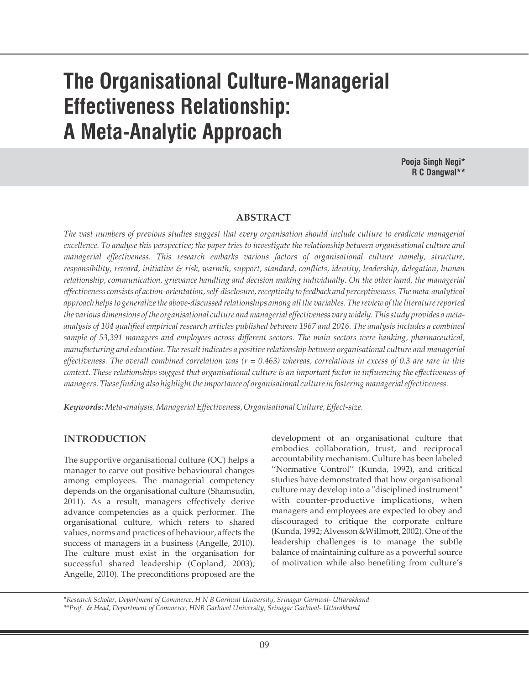# **The Organisational Culture-Managerial Effectiveness Relationship: A Meta-Analytic Approach**

**Pooja Singh Negi\* R C Dangwal\*\***

### **ABSTRACT**

*The vast numbers of previous studies suggest that every organisation should include culture to eradicate managerial excellence. To analyse this perspective; the paper tries to investigate the relationship between organisational culture and managerial effectiveness. This research embarks various factors of organisational culture namely, structure, responsibility, reward, initiative & risk, warmth, support, standard, conflicts, identity, leadership, delegation, human relationship, communication, grievance handling and decision making individually. On the other hand, the managerial effectiveness consists of action-orientation, self-disclosure, receptivity to feedback and perceptiveness. The meta-analytical approach helps to generalize the above-discussed relationships among all the variables. The review of the literature reported the various dimensions of the organisational culture and managerial effectiveness vary widely. This study provides a metaanalysis of 104 qualified empirical research articles published between 1967 and 2016. The analysis includes a combined sample of 53,391 managers and employees across different sectors. The main sectors were banking, pharmaceutical, manufacturing and education. The result indicates a positive relationship between organisational culture and managerial effectiveness. The overall combined correlation was (r = 0.463) whereas, correlations in excess of 0.3 are rare in this context. These relationships suggest that organisational culture is an important factor in influencing the effectiveness of managers. These finding also highlight the importance of organisational culture in fostering managerial effectiveness.*

*Keywords:Meta-analysis, Managerial Effectiveness, Organisational Culture, Effect-size.*

## **INTRODUCTION**

The supportive organisational culture (OC) helps a manager to carve out positive behavioural changes among employees. The managerial competency depends on the organisational culture (Shamsudin, 2011). As a result, managers effectively derive advance competencies as a quick performer. The organisational culture, which refers to shared values, norms and practices of behaviour, affects the success of managers in a business (Angelle, 2010). The culture must exist in the organisation for successful shared leadership (Copland, 2003); Angelle, 2010). The preconditions proposed are the

development of an organisational culture that embodies collaboration, trust, and reciprocal accountability mechanism. Culture has been labeled ''Normative Control'' (Kunda, 1992), and critical studies have demonstrated that how organisational culture may develop into a "disciplined instrument" with counter-productive implications, when managers and employees are expected to obey and discouraged to critique the corporate culture (Kunda, 1992; Alvesson &Willmott, 2002). One of the leadership challenges is to manage the subtle balance of maintaining culture as a powerful source of motivation while also benefiting from culture's

*\*Research Scholar, Department of Commerce, H N B Garhwal University, Srinagar Garhwal- Uttarakhand \*\*Prof. & Head, Department of Commerce, HNB Garhwal University, Srinagar Garhwal- Uttarakhand*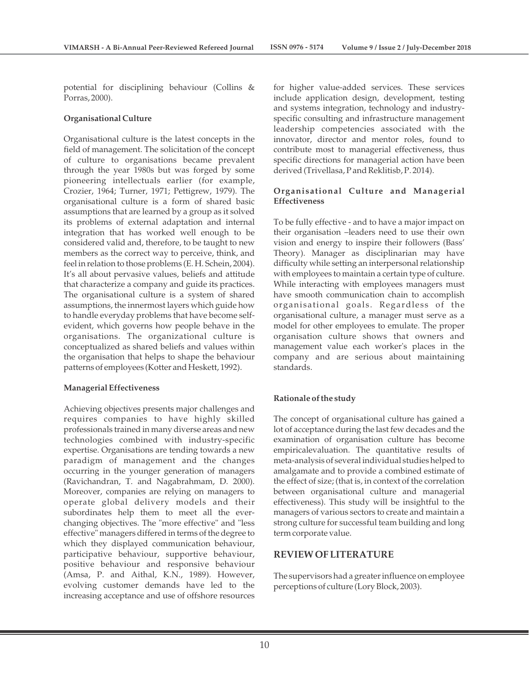potential for disciplining behaviour (Collins & Porras, 2000).

#### **Organisational Culture**

Organisational culture is the latest concepts in the field of management. The solicitation of the concept of culture to organisations became prevalent through the year 1980s but was forged by some pioneering intellectuals earlier (for example, Crozier, 1964; Turner, 1971; Pettigrew, 1979). The organisational culture is a form of shared basic assumptions that are learned by a group as it solved its problems of external adaptation and internal integration that has worked well enough to be considered valid and, therefore, to be taught to new members as the correct way to perceive, think, and feel in relation to those problems (E. H. Schein, 2004). It's all about pervasive values, beliefs and attitude that characterize a company and guide its practices. The organisational culture is a system of shared assumptions, the innermost layers which guide how to handle everyday problems that have become selfevident, which governs how people behave in the organisations. The organizational culture is conceptualized as shared beliefs and values within the organisation that helps to shape the behaviour patterns of employees (Kotter and Heskett, 1992).

#### **Managerial Effectiveness**

Achieving objectives presents major challenges and requires companies to have highly skilled professionals trained in many diverse areas and new technologies combined with industry-specific expertise. Organisations are tending towards a new paradigm of management and the changes occurring in the younger generation of managers (Ravichandran, T. and Nagabrahmam, D. 2000). Moreover, companies are relying on managers to operate global delivery models and their subordinates help them to meet all the everchanging objectives. The "more effective" and "less effective" managers differed in terms of the degree to which they displayed communication behaviour, participative behaviour, supportive behaviour, positive behaviour and responsive behaviour (Amsa, P. and Aithal, K.N., 1989). However, evolving customer demands have led to the increasing acceptance and use of offshore resources

for higher value-added services. These services include application design, development, testing and systems integration, technology and industryspecific consulting and infrastructure management leadership competencies associated with the innovator, director and mentor roles, found to contribute most to managerial effectiveness, thus specific directions for managerial action have been derived (Trivellasa, P and Reklitisb, P. 2014).

## **Organisational Culture and Managerial Effectiveness**

To be fully effective - and to have a major impact on their organisation –leaders need to use their own vision and energy to inspire their followers (Bass' Theory). Manager as disciplinarian may have difficulty while setting an interpersonal relationship with employees to maintain a certain type of culture. While interacting with employees managers must have smooth communication chain to accomplish organisational goals. Regardless of the organisational culture, a manager must serve as a model for other employees to emulate. The proper organisation culture shows that owners and management value each worker's places in the company and are serious about maintaining standards.

### **Rationale of the study**

The concept of organisational culture has gained a lot of acceptance during the last few decades and the examination of organisation culture has become empiricalevaluation. The quantitative results of meta-analysis of several individual studies helped to amalgamate and to provide a combined estimate of the effect of size; (that is, in context of the correlation between organisational culture and managerial effectiveness). This study will be insightful to the managers of various sectors to create and maintain a strong culture for successful team building and long term corporate value.

## **REVIEW OF LITERATURE**

The supervisors had a greater influence on employee perceptions of culture (Lory Block, 2003).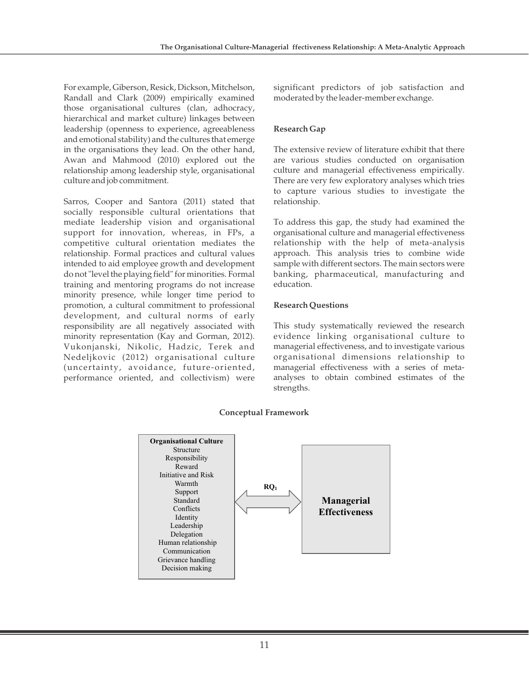For example, Giberson, Resick, Dickson, Mitchelson, Randall and Clark (2009) empirically examined those organisational cultures (clan, adhocracy, hierarchical and market culture) linkages between leadership (openness to experience, agreeableness and emotional stability) and the cultures that emerge in the organisations they lead. On the other hand, Awan and Mahmood (2010) explored out the relationship among leadership style, organisational culture and job commitment.

Sarros, Cooper and Santora (2011) stated that socially responsible cultural orientations that mediate leadership vision and organisational support for innovation, whereas, in FPs, a competitive cultural orientation mediates the relationship. Formal practices and cultural values intended to aid employee growth and development do not "level the playing field" for minorities. Formal training and mentoring programs do not increase minority presence, while longer time period to promotion, a cultural commitment to professional development, and cultural norms of early responsibility are all negatively associated with minority representation (Kay and Gorman, 2012). Vukonjanski, Nikolic, Hadzic, Terek and Nedeljkovic (2012) organisational culture (uncertainty, avoidance, future-oriented, performance oriented, and collectivism) were

significant predictors of job satisfaction and moderated by the leader-member exchange.

## **Research Gap**

The extensive review of literature exhibit that there are various studies conducted on organisation culture and managerial effectiveness empirically. There are very few exploratory analyses which tries to capture various studies to investigate the relationship.

To address this gap, the study had examined the organisational culture and managerial effectiveness relationship with the help of meta-analysis approach. This analysis tries to combine wide sample with different sectors. The main sectors were banking, pharmaceutical, manufacturing and education.

## **Research Questions**

This study systematically reviewed the research evidence linking organisational culture to managerial effectiveness, and to investigate various organisational dimensions relationship to managerial effectiveness with a series of metaanalyses to obtain combined estimates of the strengths.



### **Conceptual Framework**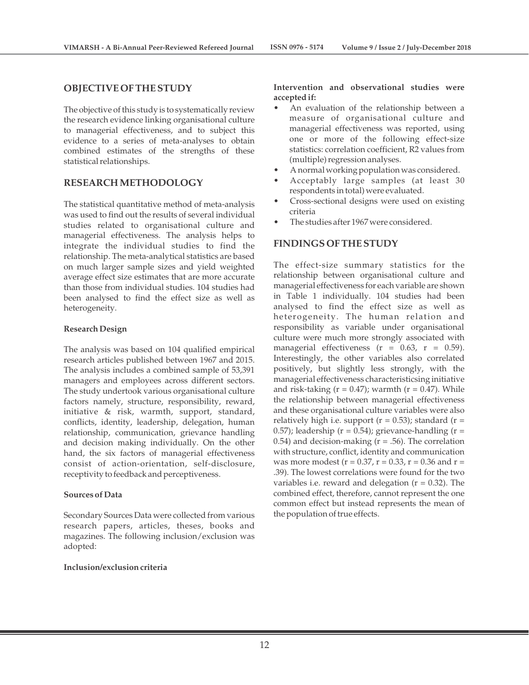## **OBJECTIVE OF THE STUDY**

The objective of this study is to systematically review the research evidence linking organisational culture to managerial effectiveness, and to subject this evidence to a series of meta-analyses to obtain combined estimates of the strengths of these statistical relationships.

## **RESEARCH METHODOLOGY**

The statistical quantitative method of meta-analysis was used to find out the results of several individual studies related to organisational culture and managerial effectiveness. The analysis helps to integrate the individual studies to find the relationship. The meta-analytical statistics are based on much larger sample sizes and yield weighted average effect size estimates that are more accurate than those from individual studies. 104 studies had been analysed to find the effect size as well as heterogeneity.

#### **Research Design**

The analysis was based on 104 qualified empirical research articles published between 1967 and 2015. The analysis includes a combined sample of 53,391 managers and employees across different sectors. The study undertook various organisational culture factors namely, structure, responsibility, reward, initiative & risk, warmth, support, standard, conflicts, identity, leadership, delegation, human relationship, communication, grievance handling and decision making individually. On the other hand, the six factors of managerial effectiveness consist of action-orientation, self-disclosure, receptivity to feedback and perceptiveness.

#### **Sources of Data**

Secondary Sources Data were collected from various research papers, articles, theses, books and magazines. The following inclusion/exclusion was adopted:

#### **Inclusion/exclusion criteria**

#### **Intervention and observational studies were accepted if:**

- An evaluation of the relationship between a measure of organisational culture and managerial effectiveness was reported, using one or more of the following effect-size statistics: correlation coefficient, R2 values from (multiple) regression analyses.
- A normal working population was considered.
- Acceptably large samples (at least 30 respondents in total) were evaluated.
- Cross-sectional designs were used on existing criteria
- The studies after 1967 were considered.

## **FINDINGS OF THE STUDY**

The effect-size summary statistics for the relationship between organisational culture and managerial effectiveness for each variable are shown in Table 1 individually. 104 studies had been analysed to find the effect size as well as heterogeneity. The human relation and responsibility as variable under organisational culture were much more strongly associated with managerial effectiveness  $(r = 0.63, r = 0.59)$ . Interestingly, the other variables also correlated positively, but slightly less strongly, with the managerial effectiveness characteristicsing initiative and risk-taking ( $r = 0.47$ ); warmth ( $r = 0.47$ ). While the relationship between managerial effectiveness and these organisational culture variables were also relatively high i.e. support ( $r = 0.53$ ); standard ( $r =$ 0.57); leadership ( $r = 0.54$ ); grievance-handling ( $r = 0.54$ ) 0.54) and decision-making  $(r = .56)$ . The correlation with structure, conflict, identity and communication was more modest ( $r = 0.37$ ,  $r = 0.33$ ,  $r = 0.36$  and  $r =$ .39). The lowest correlations were found for the two variables i.e. reward and delegation  $(r = 0.32)$ . The combined effect, therefore, cannot represent the one common effect but instead represents the mean of the population of true effects.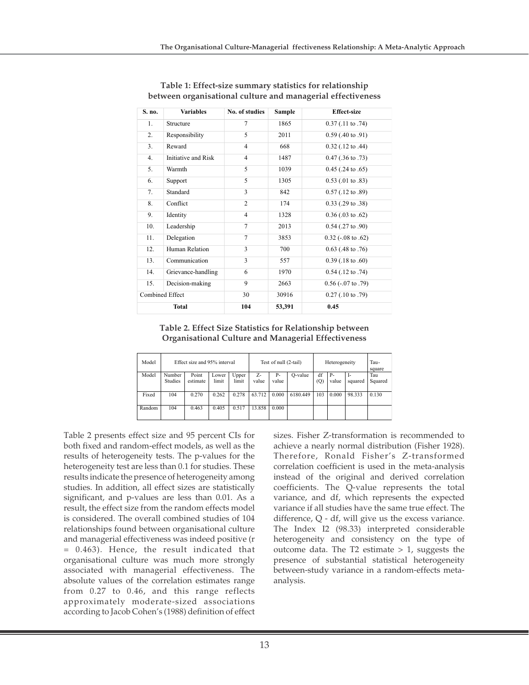| S. no.          | <b>Variables</b>    | No. of studies | Sample                      | <b>Effect-size</b>         |  |  |  |
|-----------------|---------------------|----------------|-----------------------------|----------------------------|--|--|--|
| 1.              | Structure           | 7              | $0.37$ (.11 to .74)<br>1865 |                            |  |  |  |
| 2.              | Responsibility      | 5              | 2011                        | $0.59$ (.40 to .91)        |  |  |  |
| 3.              | Reward              | $\overline{4}$ | 668                         | $0.32$ (.12 to .44)        |  |  |  |
| 4.              | Initiative and Risk | $\overline{4}$ | 1487                        | $0.47$ (.36 to .73)        |  |  |  |
| 5.              | Warmth              | 5              | 1039                        | $0.45$ (.24 to .65)        |  |  |  |
| 6.              | Support             | 5              | 1305                        | $0.53$ (.01 to .83)        |  |  |  |
| 7.              | Standard            | 3              | 842                         | $0.57$ (.12 to .89)        |  |  |  |
| 8.              | Conflict            | $\overline{c}$ | 174                         | $0.33$ (.29 to .38)        |  |  |  |
| 9.              | Identity            | $\overline{4}$ | 1328                        | $0.36$ (.03 to .62)        |  |  |  |
| 10.             | Leadership          | $\overline{7}$ | 2013                        | $0.54$ (.27 to .90)        |  |  |  |
| 11.             | Delegation          | $\overline{7}$ | 3853                        | $0.32$ ( $-.08$ to $.62$ ) |  |  |  |
| 12.             | Human Relation      | 3              | 700                         | $0.63$ (.48 to .76)        |  |  |  |
| 13.             | Communication       | 3              | 557                         | $0.39$ (.18 to .60)        |  |  |  |
| 14.             | Grievance-handling  | 6              | 1970                        | $0.54$ (.12 to .74)        |  |  |  |
| 15.             | Decision-making     | 9              | 2663                        | $0.56$ ( $-07$ to $.79$ )  |  |  |  |
| Combined Effect |                     | 30             | 30916                       | $0.27$ (.10 to .79)        |  |  |  |
| Total           |                     | 104            | 53,391                      | 0.45                       |  |  |  |

**Table 1: Effect-size summary statistics for relationship between organisational culture and managerial effectiveness**

**Table 2. Effect Size Statistics for Relationship between Organisational Culture and Managerial Effectiveness**

| Model  | Effect size and 95% interval |          |       | Test of null (2-tail) |        |       | Heterogeneity |     |           | Tau-<br>square |         |
|--------|------------------------------|----------|-------|-----------------------|--------|-------|---------------|-----|-----------|----------------|---------|
| Model  | Number                       | Point    | Lower | Upper                 | Z-     | $P -$ | O-value       | df  | <b>P-</b> | I-             | Tau     |
|        | <b>Studies</b>               | estimate | limit | limit                 | value  | value |               | (Q) | value     | squared        | Squared |
|        |                              |          |       |                       |        |       |               |     |           |                |         |
| Fixed  | 104                          | 0.270    | 0.262 | 0.278                 | 63.712 | 0.000 | 6180.449      | 103 | 0.000     | 98.333         | 0.130   |
|        |                              |          |       |                       |        |       |               |     |           |                |         |
| Random | 104                          | 0.463    | 0.405 | 0.517                 | 13.858 | 0.000 |               |     |           |                |         |
|        |                              |          |       |                       |        |       |               |     |           |                |         |

Table 2 presents effect size and 95 percent CIs for both fixed and random-effect models, as well as the results of heterogeneity tests. The p-values for the heterogeneity test are less than 0.1 for studies. These results indicate the presence of heterogeneity among studies. In addition, all effect sizes are statistically significant, and p-values are less than 0.01. As a result, the effect size from the random effects model is considered. The overall combined studies of 104 relationships found between organisational culture and managerial effectiveness was indeed positive (r = 0.463). Hence, the result indicated that organisational culture was much more strongly associated with managerial effectiveness. The absolute values of the correlation estimates range from 0.27 to 0.46, and this range reflects approximately moderate-sized associations according to Jacob Cohen's (1988) definition of effect

sizes. Fisher Z-transformation is recommended to achieve a nearly normal distribution (Fisher 1928). Therefore, Ronald Fisher's Z-transformed correlation coefficient is used in the meta-analysis instead of the original and derived correlation coefficients. The Q-value represents the total variance, and df, which represents the expected variance if all studies have the same true effect. The difference, Q - df, will give us the excess variance. The Index I2 (98.33) interpreted considerable heterogeneity and consistency on the type of outcome data. The  $T2$  estimate  $> 1$ , suggests the presence of substantial statistical heterogeneity between-study variance in a random-effects metaanalysis.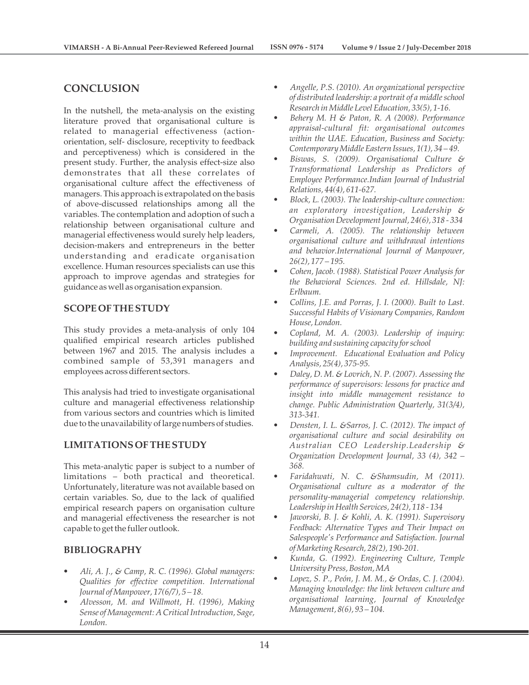# **CONCLUSION**

In the nutshell, the meta-analysis on the existing literature proved that organisational culture is related to managerial effectiveness (actionorientation, self- disclosure, receptivity to feedback and perceptiveness) which is considered in the present study. Further, the analysis effect-size also demonstrates that all these correlates of organisational culture affect the effectiveness of managers. This approach is extrapolated on the basis of above-discussed relationships among all the variables. The contemplation and adoption of such a relationship between organisational culture and managerial effectiveness would surely help leaders, decision-makers and entrepreneurs in the better understanding and eradicate organisation excellence. Human resources specialists can use this approach to improve agendas and strategies for guidance as well as organisation expansion.

# **SCOPE OF THE STUDY**

This study provides a meta-analysis of only 104 qualified empirical research articles published between 1967 and 2015. The analysis includes a combined sample of 53,391 managers and employees across different sectors.

This analysis had tried to investigate organisational culture and managerial effectiveness relationship from various sectors and countries which is limited due to the unavailability of large numbers of studies.

## **LIMITATIONS OF THE STUDY**

This meta-analytic paper is subject to a number of limitations – both practical and theoretical. Unfortunately, literature was not available based on certain variables. So, due to the lack of qualified empirical research papers on organisation culture and managerial effectiveness the researcher is not capable to get the fuller outlook.

# **BIBLIOGRAPHY**

- *Ali, A. J., & Camp, R. C. (1996). Global managers: Qualities for effective competition. International Journal of Manpower, 17(6/7), 5 – 18.*
- *Alvesson, M. and Willmott, H. (1996), Making Sense of Management: A Critical Introduction, Sage, London.*
- *Angelle, P.S. (2010). An organizational perspective of distributed leadership: a portrait of a middle school Research in Middle Level Education, 33(5), 1-16.*
- *Behery M. H & Paton, R. A (2008). Performance appraisal-cultural fit: organisational outcomes within the UAE. Education, Business and Society: Contemporary Middle Eastern Issues, 1(1), 34 – 49.*
- *Biswas, S. (2009). Organisational Culture & Transformational Leadership as Predictors of Employee Performance.Indian Journal of Industrial Relations, 44(4), 611-627.*
- *Block, L. (2003). The leadership-culture connection: an exploratory investigation, Leadership & Organisation Development Journal, 24(6), 318 - 334*
- *Carmeli, A. (2005). The relationship between organisational culture and withdrawal intentions and behavior.International Journal of Manpower, 26(2), 177 – 195.*
- *Cohen, Jacob. (1988). Statistical Power Analysis for the Behavioral Sciences. 2nd ed. Hillsdale, NJ: Erlbaum.*
- *Collins, J.E. and Porras, J. I. (2000). Built to Last. Successful Habits of Visionary Companies, Random House, London.*
- *Copland, M. A. (2003). Leadership of inquiry: building and sustaining capacity for school*
- *Improvement. Educational Evaluation and Policy Analysis, 25(4), 375-95.*
- *Daley, D. M. & Lovrich, N. P. (2007). Assessing the performance of supervisors: lessons for practice and insight into middle management resistance to change. Public Administration Quarterly, 31(3/4), 313-341.*
- *Densten, I. L. &Sarros, J. C. (2012). The impact of organisational culture and social desirability on Australian CEO Leadership.Leadership & Organization Development Journal, 33 (4), 342 – 368.*
- *Faridahwati, N. C. &Shamsudin, M (2011). Organisational culture as a moderator of the personality-managerial competency relationship. Leadership in Health Services, 24(2), 118 - 134*
- *Jaworski, B. J. & Kohli, A. K. (1991). Supervisory Feedback: Alternative Types and Their Impact on Salespeople's Performance and Satisfaction. Journal of Marketing Research, 28(2), 190-201.*
- *Kunda, G. (1992). Engineering Culture, Temple University Press, Boston, MA*
- *Lopez, S. P., Peón, J. M. M., & Ordas, C. J. (2004). Managing knowledge: the link between culture and organisational learning, Journal of Knowledge Management, 8(6), 93 – 104.*